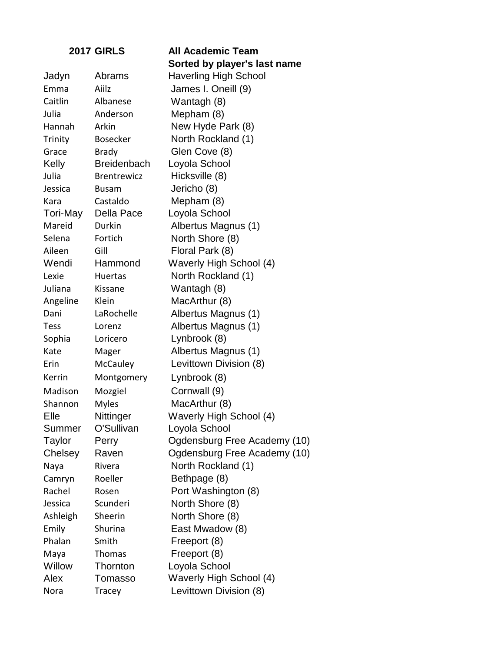|          | <b>2017 GIRLS</b>  | <b>All Academic Team</b>       |
|----------|--------------------|--------------------------------|
|          |                    | Sorted by player's last name   |
| Jadyn    | Abrams             | <b>Haverling High School</b>   |
| Emma     | Aiilz              | James I. Oneill (9)            |
| Caitlin  | Albanese           | Wantagh (8)                    |
| Julia    | Anderson           | Mepham (8)                     |
| Hannah   | Arkin              | New Hyde Park (8)              |
| Trinity  | <b>Bosecker</b>    | North Rockland (1)             |
| Grace    | <b>Brady</b>       | Glen Cove (8)                  |
| Kelly    | <b>Breidenbach</b> | Loyola School                  |
| Julia    | <b>Brentrewicz</b> | Hicksville (8)                 |
| Jessica  | Busam              | Jericho (8)                    |
| Kara     | Castaldo           | Mepham (8)                     |
| Tori-May | Della Pace         | Loyola School                  |
| Mareid   | Durkin             | Albertus Magnus (1)            |
| Selena   | Fortich            | North Shore (8)                |
| Aileen   | Gill               | Floral Park (8)                |
| Wendi    | Hammond            | <b>Waverly High School (4)</b> |
| Lexie    | Huertas            | North Rockland (1)             |
| Juliana  | Kissane            | Wantagh (8)                    |
| Angeline | Klein              | MacArthur (8)                  |
| Dani     | LaRochelle         | Albertus Magnus (1)            |
| Tess     | Lorenz             | Albertus Magnus (1)            |
| Sophia   | Loricero           | Lynbrook (8)                   |
| Kate     | Mager              | Albertus Magnus (1)            |
| Erin     | McCauley           | Levittown Division (8)         |
| Kerrin   | Montgomery         | Lynbrook (8)                   |
| Madison  | Mozgiel            | Cornwall (9)                   |
| Shannon  | <b>Myles</b>       | MacArthur (8)                  |
| Elle     | Nittinger          | Waverly High School (4)        |
| Summer   | O'Sullivan         | Loyola School                  |
| Taylor   | Perry              | Ogdensburg Free Academy (10)   |
| Chelsey  | Raven              | Ogdensburg Free Academy (10)   |
| Naya     | Rivera             | North Rockland (1)             |
| Camryn   | Roeller            | Bethpage (8)                   |
| Rachel   | Rosen              | Port Washington (8)            |
| Jessica  | Scunderi           | North Shore (8)                |
| Ashleigh | Sheerin            | North Shore (8)                |
| Emily    | Shurina            | East Mwadow (8)                |
| Phalan   | Smith              | Freeport (8)                   |
| Maya     | <b>Thomas</b>      | Freeport (8)                   |
| Willow   | Thornton           | Loyola School                  |
| Alex     | Tomasso            | Waverly High School (4)        |
| Nora     | Tracey             | Levittown Division (8)         |